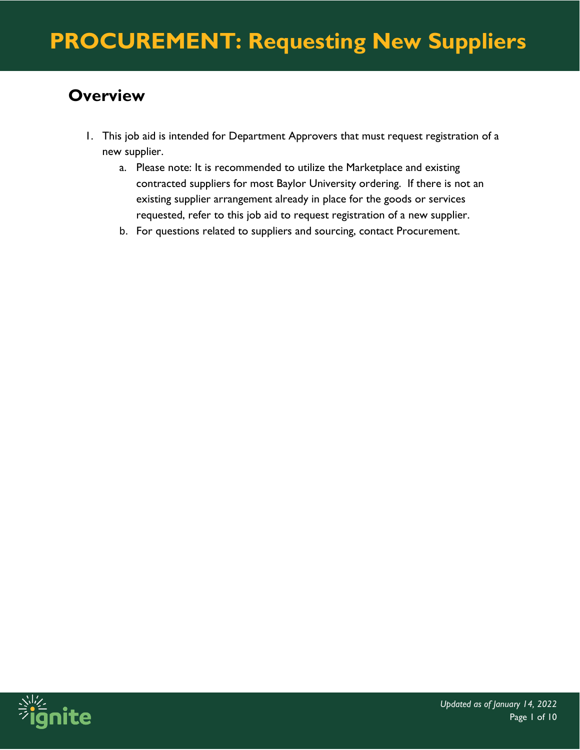### **Overview**

- 1. This job aid is intended for Department Approvers that must request registration of a new supplier.
	- a. Please note: It is recommended to utilize the Marketplace and existing contracted suppliers for most Baylor University ordering. If there is not an existing supplier arrangement already in place for the goods or services requested, refer to this job aid to request registration of a new supplier.
	- b. For questions related to suppliers and sourcing, contact Procurement.

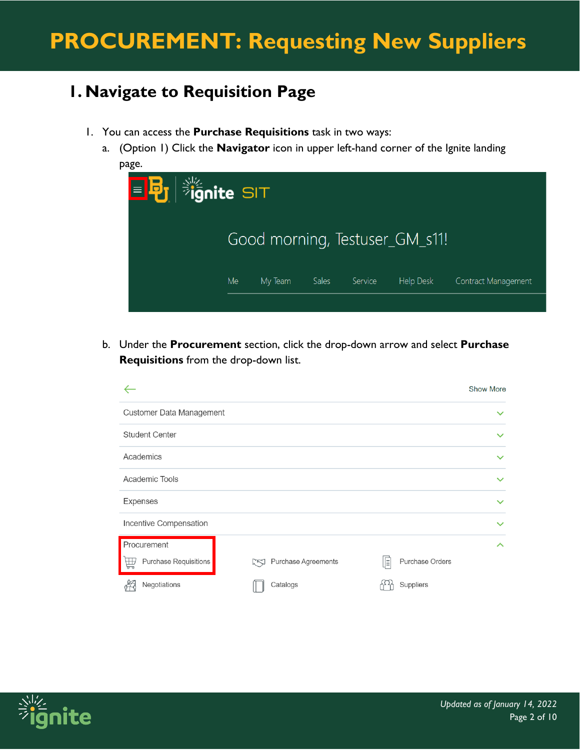### **1. Navigate to Requisition Page**

- 1. You can access the **Purchase Requisitions** task in two ways:
	- a. (Option 1) Click the **Navigator** icon in upper left-hand corner of the Ignite landing page.



b. Under the **Procurement** section, click the drop-down arrow and select **Purchase Requisitions** from the drop-down list.



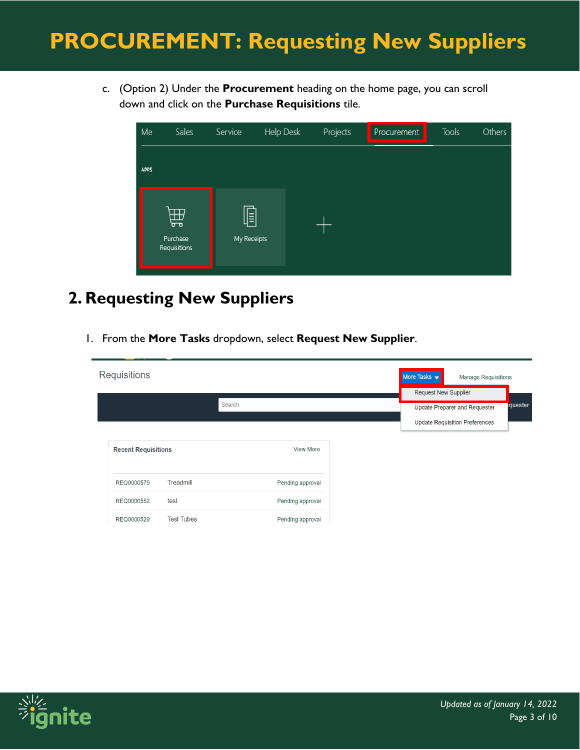c. (Option 2) Under the **Procurement** heading on the home page, you can scroll down and click on the **Purchase Requisitions** tile.

| Me          | Sales                         | Service          | Help Desk | Projects | Procurement | Tools | Others |
|-------------|-------------------------------|------------------|-----------|----------|-------------|-------|--------|
| <b>APPS</b> |                               |                  |           |          |             |       |        |
|             | 曲<br>Purchase<br>Requisitions | E<br>My Receipts |           |          |             |       |        |

### **2. Requesting New Suppliers**

1. From the **More Tasks** dropdown, select **Request New Supplier**.

| <b>Requisitions</b>        |                   |        |                  | More Tasks $\blacktriangledown$<br><b>Request New Supplier</b> | <b>Manage Requisitions</b>                                                    |         |
|----------------------------|-------------------|--------|------------------|----------------------------------------------------------------|-------------------------------------------------------------------------------|---------|
|                            |                   | Search |                  |                                                                | <b>Update Preparer and Requester</b><br><b>Update Requisition Preferences</b> | quester |
| <b>Recent Requisitions</b> |                   |        | <b>View More</b> |                                                                |                                                                               |         |
| REQ0000579                 | Treadmill         |        | Pending approval |                                                                |                                                                               |         |
| REQ0000552                 | test              |        | Pending approval |                                                                |                                                                               |         |
| REQ0000529                 | <b>Test Tubes</b> |        | Pending approval |                                                                |                                                                               |         |

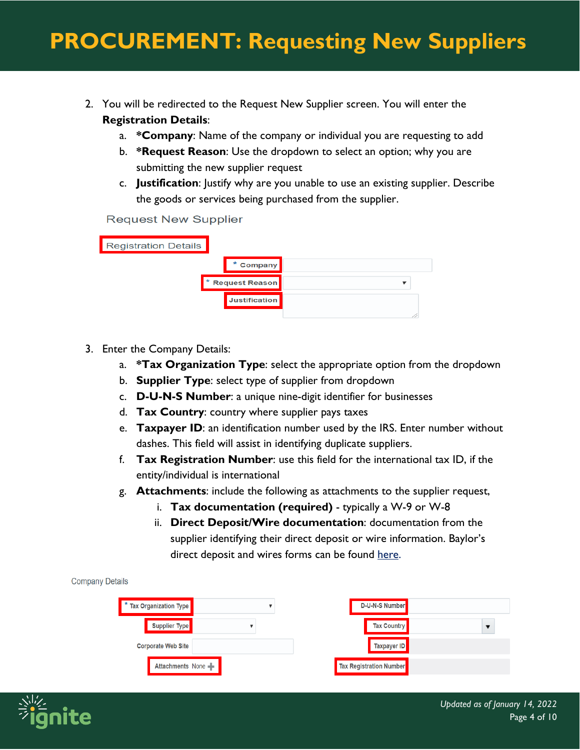- 2. You will be redirected to the Request New Supplier screen. You will enter the **Registration Details**:
	- a. **\*Company**: Name of the company or individual you are requesting to add
	- b. **\*Request Reason**: Use the dropdown to select an option; why you are submitting the new supplier request
	- c. **Justification**: Justify why are you unable to use an existing supplier. Describe the goods or services being purchased from the supplier.

**Request New Supplier** 

| <b>Registration Details</b> |                      |  |
|-----------------------------|----------------------|--|
|                             | * Company            |  |
|                             | * Request Reason     |  |
|                             | <b>Justification</b> |  |
|                             |                      |  |

- 3. Enter the Company Details:
	- a. **\*Tax Organization Type**: select the appropriate option from the dropdown
	- b. **Supplier Type**: select type of supplier from dropdown
	- c. **D-U-N-S Number**: a unique nine-digit identifier for businesses
	- d. **Tax Country**: country where supplier pays taxes
	- e. **Taxpayer ID**: an identification number used by the IRS. Enter number without dashes. This field will assist in identifying duplicate suppliers.
	- f. **Tax Registration Number**: use this field for the international tax ID, if the entity/individual is international
	- g. **Attachments**: include the following as attachments to the supplier request,
		- i. **Tax documentation (required)** typically a W-9 or W-8
		- ii. **Direct Deposit/Wire documentation**: documentation from the supplier identifying their direct deposit or wire information. Baylor's direct deposit and wires forms can be found [here.](https://www.baylor.edu/financial_services/controller/index.php?id=44248)

|  | <b>Company Details</b> |
|--|------------------------|

| * Tax Organization Type   | <b>D-U-N-S Number</b>                                 |  |
|---------------------------|-------------------------------------------------------|--|
| Supplier Type             | <b>Tax Country</b>                                    |  |
| <b>Corporate Web Site</b> | Taxpayer ID                                           |  |
| Attachments None          | <mark>⊺</mark> Tax Registration Number <mark>∎</mark> |  |

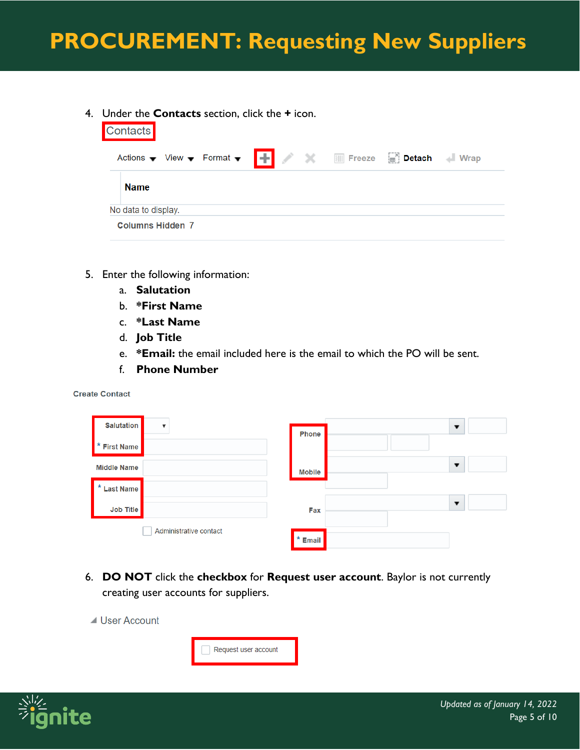4. Under the **Contacts** section, click the **+** icon.

| <b>Contacts</b>         |  |                     |
|-------------------------|--|---------------------|
|                         |  | $\blacksquare$ Wrap |
| <b>Name</b>             |  |                     |
| No data to display.     |  |                     |
| <b>Columns Hidden 7</b> |  |                     |

- 5. Enter the following information:
	- a. **Salutation**
	- b. **\*First Name**
	- c. **\*Last Name**
	- d. **Job Title**
	- e. **\*Email:** the email included here is the email to which the PO will be sent.
	- f. **Phone Number**

**Create Contact** 

| <b>Salutation</b>      | ▼                      | Phone         | ▼                        |
|------------------------|------------------------|---------------|--------------------------|
| ∗<br><b>First Name</b> |                        |               |                          |
| <b>Middle Name</b>     |                        | <b>Mobile</b> | $\overline{\phantom{a}}$ |
| <b>*</b> Last Name     |                        |               |                          |
| Job Title              |                        | Fax           | $\overline{\phantom{a}}$ |
|                        | Administrative contact | $*$ Email     |                          |

6. **DO NOT** click the **checkbox** for **Request user account**. Baylor is not currently creating user accounts for suppliers.





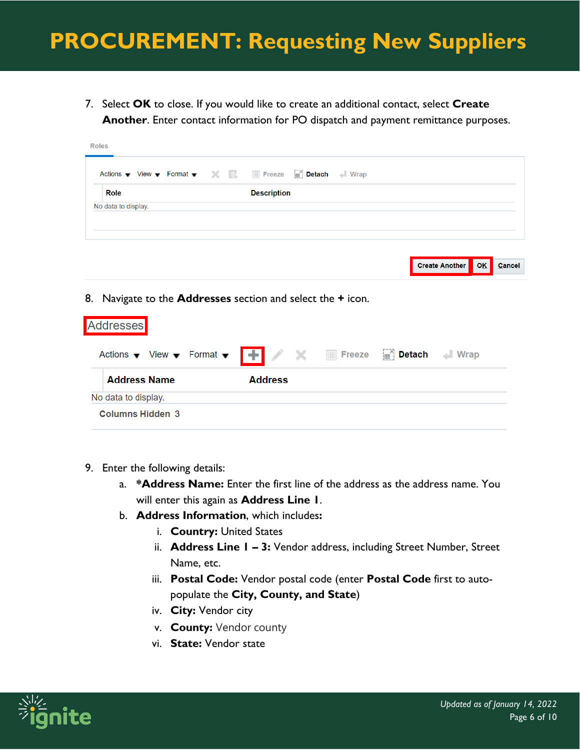7. Select **OK** to close. If you would like to create an additional contact, select **Create Another**. Enter contact information for PO dispatch and payment remittance purposes.

| Role<br><b>Description</b> |
|----------------------------|
|                            |
| No data to display.        |

8. Navigate to the **Addresses** section and select the **+** icon.

| <b>Addresses</b>                                                                                                     |                |                                  |                     |
|----------------------------------------------------------------------------------------------------------------------|----------------|----------------------------------|---------------------|
| Actions $\bullet$ View $\bullet$ Format $\bullet$ $\bullet$ $\bullet$ $\bullet$ $\bullet$ $\bullet$ $\bullet$ Freeze |                | <sub>⊞</sub> <sup>®</sup> Detach | $\blacksquare$ Wrap |
| <b>Address Name</b>                                                                                                  | <b>Address</b> |                                  |                     |
| No data to display.                                                                                                  |                |                                  |                     |
| Columns Hidden 3                                                                                                     |                |                                  |                     |

- 9. Enter the following details:
	- a. **\*Address Name:** Enter the first line of the address as the address name. You will enter this again as **Address Line 1**.
	- b. **Address Information**, which includes**:**
		- i. **Country:** United States
		- ii. **Address Line 1 – 3:** Vendor address, including Street Number, Street Name, etc.
		- iii. **Postal Code:** Vendor postal code (enter **Postal Code** first to autopopulate the **City, County, and State**)
		- iv. **City:** Vendor city
		- v. **County:** Vendor county
		- vi. **State:** Vendor state



**Create Another** 

**OK** 

Cancel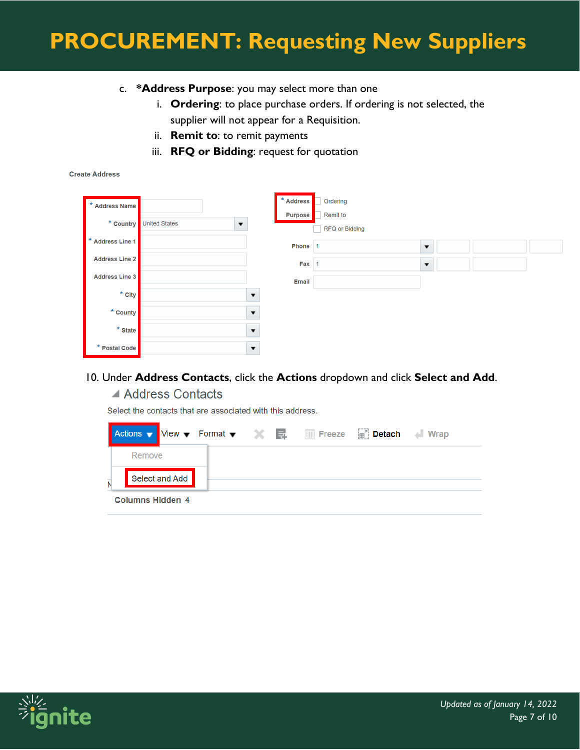- c. **\*Address Purpose**: you may select more than one
	- i. **Ordering**: to place purchase orders. If ordering is not selected, the supplier will not appear for a Requisition.
	- ii. **Remit to**: to remit payments
	- iii. **RFQ or Bidding**: request for quotation

#### **Create Address**

| $\ast$<br><b>Address Name</b> |                                                    |                         | * Address<br><b>Purpose</b> | Ordering<br>Remit to  |                         |  |  |
|-------------------------------|----------------------------------------------------|-------------------------|-----------------------------|-----------------------|-------------------------|--|--|
|                               | * Country United States<br>$\overline{\mathbf{v}}$ |                         |                             | <b>RFQ or Bidding</b> |                         |  |  |
| *<br>Address Line 1           |                                                    |                         | Phone 1                     |                       | $\overline{\mathbf{v}}$ |  |  |
| <b>Address Line 2</b>         |                                                    |                         | $Fax$ 1                     |                       | $\blacktriangledown$    |  |  |
| <b>Address Line 3</b>         |                                                    |                         | <b>Email</b>                |                       |                         |  |  |
| $*$ City                      |                                                    | $\overline{\mathbf{v}}$ |                             |                       |                         |  |  |
| * County                      |                                                    | $\overline{\mathbf{v}}$ |                             |                       |                         |  |  |
| * State                       |                                                    | $\blacktriangledown$    |                             |                       |                         |  |  |
| * Postal Code                 |                                                    | $\blacktriangledown$    |                             |                       |                         |  |  |

#### 10. Under **Address Contacts**, click the **Actions** dropdown and click **Select and Add**.

#### ▲ Address Contacts

Select the contacts that are associated with this address.

|                |                  |                |  |  | <b>Detach</b> | $\blacksquare$ Wrap |
|----------------|------------------|----------------|--|--|---------------|---------------------|
|                | Remove           |                |  |  |               |                     |
| $\overline{N}$ |                  | Select and Add |  |  |               |                     |
|                | Columns Hidden 4 |                |  |  |               |                     |

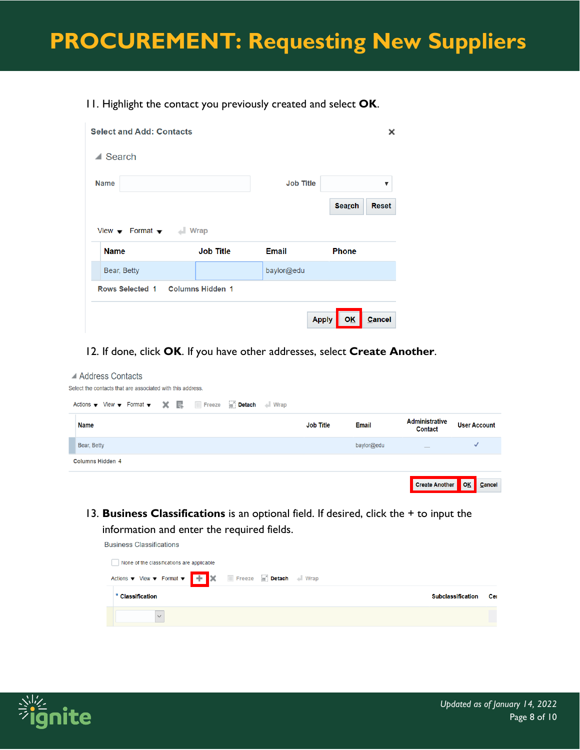#### 11. Highlight the contact you previously created and select **OK**.

| <b>Select and Add: Contacts</b> |                         |                  | ×                             |
|---------------------------------|-------------------------|------------------|-------------------------------|
| $\triangle$ Search              |                         |                  |                               |
| <b>Name</b>                     |                         | <b>Job Title</b> | ▼                             |
|                                 |                         |                  | <b>Search</b><br><b>Reset</b> |
| View $\bullet$ Format $\bullet$ | <b>Wrap</b>             |                  |                               |
| <b>Name</b>                     | <b>Job Title</b>        | <b>Email</b>     | <b>Phone</b>                  |
| Bear, Betty                     |                         | baylor@edu       |                               |
| <b>Rows Selected 1</b>          | <b>Columns Hidden 1</b> |                  |                               |
|                                 |                         | <b>Apply</b>     | Cancel<br><b>OK</b>           |

#### 12. If done, click **OK**. If you have other addresses, select **Create Another**.

#### ▲ Address Contacts Select the contacts that are associated with this address. Actions ▼ View ▼ Format ▼ ※ ■ 图 Freeze ■ Detach → Wrap Administrative **Job Title User Account Name Email** Contact Bear, Betty baylor@edu  $\checkmark$ Columns Hidden 4 OK **Create Another** Cancel

13. **Business Classifications** is an optional field. If desired, click the + to input the information and enter the required fields.

| <b>Business Classifications</b>            |                          |     |
|--------------------------------------------|--------------------------|-----|
| None of the classifications are applicable |                          |     |
|                                            |                          |     |
| * Classification                           | <b>Subclassification</b> | Cer |
| $\vee$                                     |                          |     |

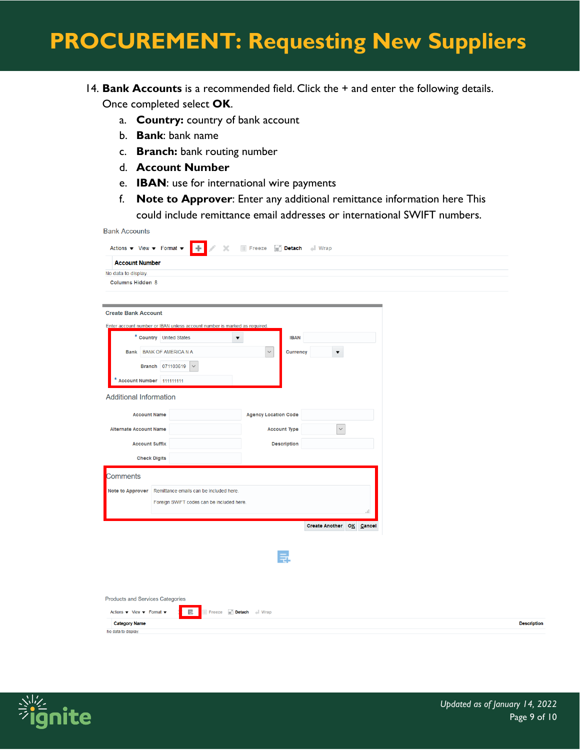### 14. **Bank Accounts** is a recommended field. Click the + and enter the following details. Once completed select **OK**.

- a. **Country:** country of bank account
- b. **Bank**: bank name
- c. **Branch:** bank routing number
- d. **Account Number**
- e. **IBAN**: use for international wire payments
- f. **Note to Approver**: Enter any additional remittance information here This could include remittance email addresses or international SWIFT numbers.

| <b>Bank Accounts</b>                                                               |                                                                           |                                       |                          |                    |
|------------------------------------------------------------------------------------|---------------------------------------------------------------------------|---------------------------------------|--------------------------|--------------------|
| Actions $\blacktriangledown$ View $\blacktriangledown$ Format $\blacktriangledown$ | l÷.<br>$\times$                                                           | <b>III Freeze III</b> Detach III Wrap |                          |                    |
| <b>Account Number</b>                                                              |                                                                           |                                       |                          |                    |
| No data to display.                                                                |                                                                           |                                       |                          |                    |
| <b>Columns Hidden 8</b>                                                            |                                                                           |                                       |                          |                    |
|                                                                                    |                                                                           |                                       |                          |                    |
|                                                                                    |                                                                           |                                       |                          |                    |
| <b>Create Bank Account</b>                                                         |                                                                           |                                       |                          |                    |
|                                                                                    | Enter account number or IBAN unless account number is marked as required. |                                       |                          |                    |
|                                                                                    | * Country United States<br>$\blacktriangledown$                           | <b>IBAN</b>                           |                          |                    |
|                                                                                    | <b>Bank</b> BANK OF AMERICA N A                                           | $\bar{\mathbf{v}}$<br>Currency        | $\overline{\mathbf{v}}$  |                    |
|                                                                                    | Branch 071103619<br>$\checkmark$                                          |                                       |                          |                    |
|                                                                                    |                                                                           |                                       |                          |                    |
| * Account Number 111111111                                                         |                                                                           |                                       |                          |                    |
| <b>Additional Information</b>                                                      |                                                                           |                                       |                          |                    |
| <b>Account Name</b>                                                                |                                                                           | <b>Agency Location Code</b>           |                          |                    |
| <b>Alternate Account Name</b>                                                      |                                                                           | <b>Account Type</b>                   | $\checkmark$             |                    |
| <b>Account Suffix</b>                                                              |                                                                           | <b>Description</b>                    |                          |                    |
| <b>Check Digits</b>                                                                |                                                                           |                                       |                          |                    |
|                                                                                    |                                                                           |                                       |                          |                    |
| Comments                                                                           |                                                                           |                                       |                          |                    |
| <b>Note to Approver</b>                                                            | Remittance emails can be included here.                                   |                                       |                          |                    |
|                                                                                    | Foreign SWIFT codes can be included here.                                 |                                       |                          |                    |
|                                                                                    |                                                                           |                                       |                          |                    |
|                                                                                    |                                                                           |                                       | Create Another OK Cancel |                    |
|                                                                                    |                                                                           |                                       |                          |                    |
|                                                                                    |                                                                           |                                       |                          |                    |
|                                                                                    |                                                                           |                                       |                          |                    |
|                                                                                    |                                                                           |                                       |                          |                    |
|                                                                                    |                                                                           |                                       |                          |                    |
| <b>Products and Services Categories</b>                                            |                                                                           |                                       |                          |                    |
|                                                                                    |                                                                           |                                       |                          |                    |
| Actions $\blacktriangledown$ View $\blacktriangledown$ Format $\blacktriangledown$ | 冔<br>Freeze <b>Detach</b> Norap                                           |                                       |                          |                    |
| <b>Category Name</b><br>No data to display.                                        |                                                                           |                                       |                          | <b>Description</b> |
|                                                                                    |                                                                           |                                       |                          |                    |